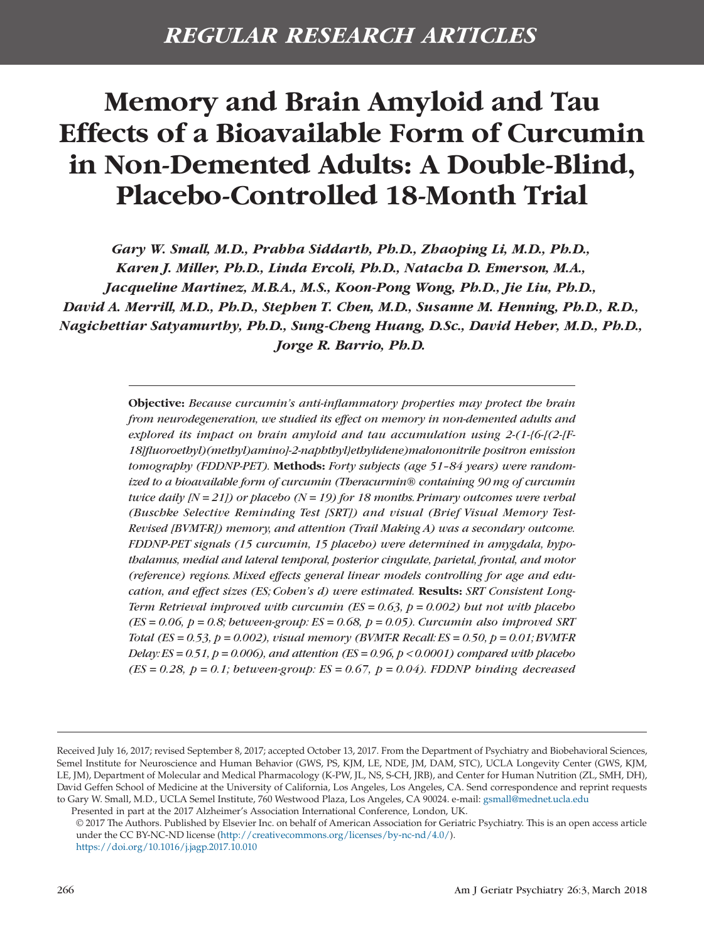# *REGULAR RESEARCH ARTICLES*

# **Memory and Brain Amyloid and Tau Effects of a Bioavailable Form of Curcumin in Non-Demented Adults: A Double-Blind, Placebo-Controlled 18-Month Trial**

*Gary W. Small, M.D., Prabha Siddarth, Ph.D., Zhaoping Li, M.D., Ph.D., Karen J. Miller, Ph.D., Linda Ercoli, Ph.D., Natacha D. Emerson, M.A., Jacqueline Martinez, M.B.A., M.S., Koon-Pong Wong, Ph.D., Jie Liu, Ph.D., David A. Merrill, M.D., Ph.D., Stephen T. Chen, M.D., Susanne M. Henning, Ph.D., R.D., Nagichettiar Satyamurthy, Ph.D., Sung-Cheng Huang, D.Sc., David Heber, M.D., Ph.D., Jorge R. Barrio, Ph.D.*

> **Objective:** *Because curcumin's anti-inflammatory properties may protect the brain from neurodegeneration, we studied its effect on memory in non-demented adults and explored its impact on brain amyloid and tau accumulation using 2-(1-{6-[(2-[F-18]fluoroethyl)(methyl)amino]-2-naphthyl}ethylidene)malononitrile positron emission tomography (FDDNP-PET).* **Methods:** *Forty subjects (age 51–84 years) were randomized to a bioavailable form of curcumin (Theracurmin® containing 90 mg of curcumin twice daily [N = 21]) or placebo (N = 19) for 18 months.Primary outcomes were verbal (Buschke Selective Reminding Test [SRT]) and visual (Brief Visual Memory Test-Revised [BVMT-R]) memory, and attention (Trail Making A) was a secondary outcome. FDDNP-PET signals (15 curcumin, 15 placebo) were determined in amygdala, hypothalamus, medial and lateral temporal, posterior cingulate, parietal, frontal, and motor (reference) regions. Mixed effects general linear models controlling for age and education, and effect sizes (ES; Cohen's d) were estimated.* **Results:** *SRT Consistent Long-Term Retrieval improved with curcumin (ES = 0.63, p = 0.002) but not with placebo (ES = 0.06, p = 0.8; between-group: ES = 0.68, p = 0.05). Curcumin also improved SRT Total (ES = 0.53, p = 0.002), visual memory (BVMT-R Recall: ES = 0.50, p = 0.01; BVMT-R Delay:ES = 0.51, p = 0.006), and attention (ES = 0.96, p < 0.0001) compared with placebo (ES = 0.28, p = 0.1; between-group: ES = 0.67, p = 0.04). FDDNP binding decreased*

Presented in part at the 2017 Alzheimer's Association International Conference, London, UK.

Received July 16, 2017; revised September 8, 2017; accepted October 13, 2017. From the Department of Psychiatry and Biobehavioral Sciences, Semel Institute for Neuroscience and Human Behavior (GWS, PS, KJM, LE, NDE, JM, DAM, STC), UCLA Longevity Center (GWS, KJM, LE, JM), Department of Molecular and Medical Pharmacology (K-PW, JL, NS, S-CH, JRB), and Center for Human Nutrition (ZL, SMH, DH), David Geffen School of Medicine at the University of California, Los Angeles, Los Angeles, CA. Send correspondence and reprint requests to Gary W. Small, M.D., UCLA Semel Institute, 760 Westwood Plaza, Los Angeles, CA 90024. e-mail: [gsmall@mednet.ucla.edu](mailto:gsmall@mednet.ucla.edu)

<sup>© 2017</sup> The Authors. Published by Elsevier Inc. on behalf of American Association for Geriatric Psychiatry. This is an open access article under the CC BY-NC-ND license (http://creativecommons.org/licenses/by-nc-nd/4.0/). [https://doi.org/10.1016/j.jagp.2017.10.010](http://dx.doi.org/10.1016/j.jagp.2017.10.010)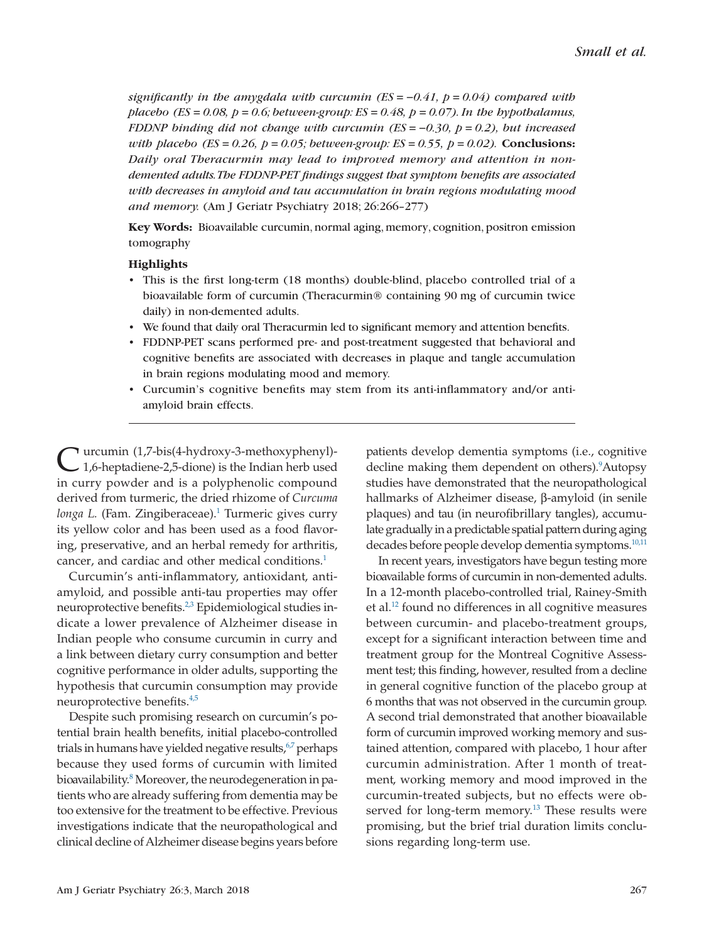*significantly in the amygdala with curcumin (ES =*  $-0.41$ *, p = 0.04) compared with placebo (ES = 0.08, p = 0.6; between-group: ES = 0.48, p = 0.07). In the hypothalamus, FDDNP binding did not change with curcumin (ES = −0.30, p = 0.2), but increased with placebo (ES = 0.26, p = 0.05; between-group: ES = 0.55, p = 0.02).* **Conclusions:** *Daily oral Theracurmin may lead to improved memory and attention in nondemented adults.The FDDNP-PET findings suggest that symptom benefits are associated with decreases in amyloid and tau accumulation in brain regions modulating mood and memory.* (Am J Geriatr Psychiatry 2018; 26:266–277)

**Key Words:** Bioavailable curcumin, normal aging, memory, cognition, positron emission tomography

#### **Highlights**

- This is the first long-term (18 months) double-blind, placebo controlled trial of a bioavailable form of curcumin (Theracurmin® containing 90 mg of curcumin twice daily) in non-demented adults.
- We found that daily oral Theracurmin led to significant memory and attention benefits.
- FDDNP-PET scans performed pre- and post-treatment suggested that behavioral and cognitive benefits are associated with decreases in plaque and tangle accumulation in brain regions modulating mood and memory.
- Curcumin's cognitive benefits may stem from its anti-inflammatory and/or antiamyloid brain effects.

Curcumin (1,7-bis(4-hydroxy-3-methoxyphenyl)-<br>
1,6-heptadiene-2,5-dione) is the Indian herb used in curry powder and is a polyphenolic compound derived from turmeric, the dried rhizome of *Curcuma longa L.* (Fam. Zingiberaceae).<sup>1</sup> Turmeric gives curry its yellow color and has been used as a food flavoring, preservative, and an herbal remedy for arthritis, cancer, and cardiac and other medical conditions.<sup>1</sup>

Curcumin's anti-inflammatory, antioxidant, antiamyloid, and possible anti-tau properties may offer neuroprotective benefits.<sup>2,3</sup> Epidemiological studies indicate a lower prevalence of Alzheimer disease in Indian people who consume curcumin in curry and a link between dietary curry consumption and better cognitive performance in older adults, supporting the hypothesis that curcumin consumption may provide neuroprotective benefits[.4,5](#page-10-2)

Despite such promising research on curcumin's potential brain health benefits, initial placebo-controlled trials in humans have yielded negative results,<sup>6,7</sup> perhaps because they used forms of curcumin with limited bioavailability.<sup>8</sup> Moreover, the neurodegeneration in patients who are already suffering from dementia may be too extensive for the treatment to be effective. Previous investigations indicate that the neuropathological and clinical decline of Alzheimer disease begins years before patients develop dementia symptoms (i.e., cognitive decline making them dependent on others).<sup>9</sup>Autopsy studies have demonstrated that the neuropathological hallmarks of Alzheimer disease, β-amyloid (in senile plaques) and tau (in neurofibrillary tangles), accumulate gradually in a predictable spatial pattern during aging decades before people develop dementia symptoms.<sup>10,11</sup>

In recent years, investigators have begun testing more bioavailable forms of curcumin in non-demented adults. In a 12-month placebo-controlled trial, Rainey-Smith et al.<sup>12</sup> found no differences in all cognitive measures between curcumin- and placebo-treatment groups, except for a significant interaction between time and treatment group for the Montreal Cognitive Assessment test; this finding, however, resulted from a decline in general cognitive function of the placebo group at 6 months that was not observed in the curcumin group. A second trial demonstrated that another bioavailable form of curcumin improved working memory and sustained attention, compared with placebo, 1 hour after curcumin administration. After 1 month of treatment, working memory and mood improved in the curcumin-treated subjects, but no effects were observed for long-term memory.<sup>13</sup> These results were promising, but the brief trial duration limits conclusions regarding long-term use.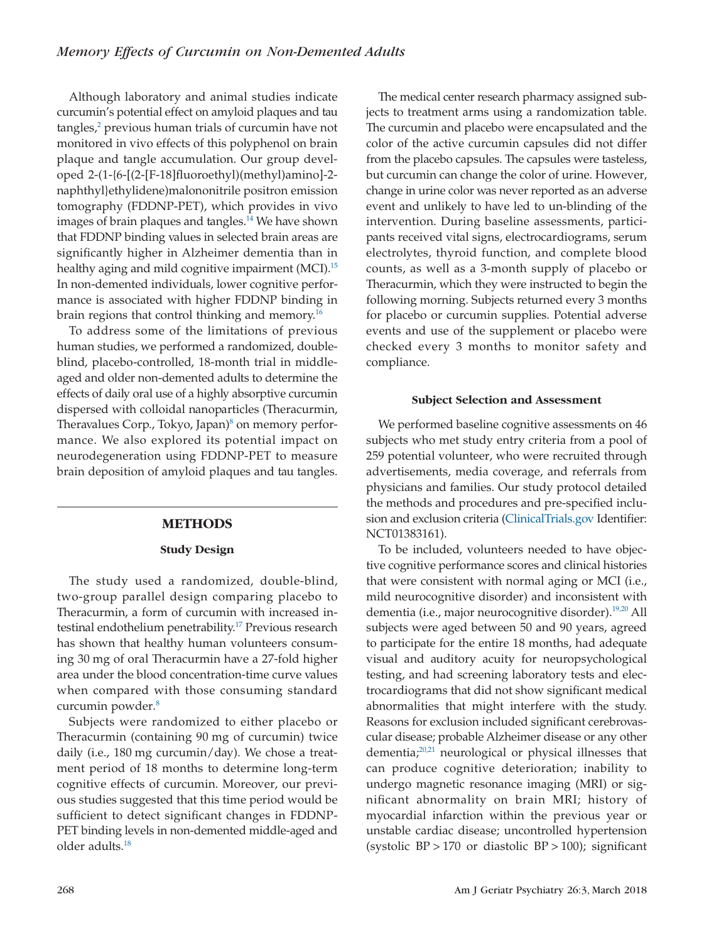Although laboratory and animal studies indicate curcumin's potential effect on amyloid plaques and tau tangles,<sup>2</sup> previous human trials of curcumin have not monitored in vivo effects of this polyphenol on brain plaque and tangle accumulation. Our group developed 2-(1-{6-[(2-[F-18]fluoroethyl)(methyl)amino]-2 naphthyl}ethylidene)malononitrile positron emission tomography (FDDNP-PET), which provides in vivo images of brain plaques and tangles. $14$  We have shown that FDDNP binding values in selected brain areas are significantly higher in Alzheimer dementia than in healthy aging and mild cognitive impairment (MCI).<sup>15</sup> In non-demented individuals, lower cognitive performance is associated with higher FDDNP binding in brain regions that control thinking and memory.<sup>16</sup>

To address some of the limitations of previous human studies, we performed a randomized, doubleblind, placebo-controlled, 18-month trial in middleaged and older non-demented adults to determine the effects of daily oral use of a highly absorptive curcumin dispersed with colloidal nanoparticles (Theracurmin, Theravalues Corp., Tokyo, Japan $)^8$  on memory performance. We also explored its potential impact on neurodegeneration using FDDNP-PET to measure brain deposition of amyloid plaques and tau tangles.

### **METHODS**

#### **Study Design**

The study used a randomized, double-blind, two-group parallel design comparing placebo to Theracurmin, a form of curcumin with increased intestinal endothelium penetrability[.17](#page-10-12) Previous research has shown that healthy human volunteers consuming 30 mg of oral Theracurmin have a 27-fold higher area under the blood concentration-time curve values when compared with those consuming standard curcumin powder[.8](#page-10-4)

Subjects were randomized to either placebo or Theracurmin (containing 90 mg of curcumin) twice daily (i.e., 180 mg curcumin/day). We chose a treatment period of 18 months to determine long-term cognitive effects of curcumin. Moreover, our previous studies suggested that this time period would be sufficient to detect significant changes in FDDNP-PET binding levels in non-demented middle-aged and older adults[.18](#page-10-13)

The medical center research pharmacy assigned subjects to treatment arms using a randomization table. The curcumin and placebo were encapsulated and the color of the active curcumin capsules did not differ from the placebo capsules. The capsules were tasteless, but curcumin can change the color of urine. However, change in urine color was never reported as an adverse event and unlikely to have led to un-blinding of the intervention. During baseline assessments, participants received vital signs, electrocardiograms, serum electrolytes, thyroid function, and complete blood counts, as well as a 3-month supply of placebo or Theracurmin, which they were instructed to begin the following morning. Subjects returned every 3 months for placebo or curcumin supplies. Potential adverse events and use of the supplement or placebo were checked every 3 months to monitor safety and compliance.

#### **Subject Selection and Assessment**

We performed baseline cognitive assessments on 46 subjects who met study entry criteria from a pool of 259 potential volunteer, who were recruited through advertisements, media coverage, and referrals from physicians and families. Our study protocol detailed the methods and procedures and pre-specified inclusion and exclusion criteria [\(ClinicalTrials.gov](http://ClinicalTrials.gov) Identifier: NCT01383161).

To be included, volunteers needed to have objective cognitive performance scores and clinical histories that were consistent with normal aging or MCI (i.e., mild neurocognitive disorder) and inconsistent with dementia (i.e., major neurocognitive disorder).<sup>19,20</sup> All subjects were aged between 50 and 90 years, agreed to participate for the entire 18 months, had adequate visual and auditory acuity for neuropsychological testing, and had screening laboratory tests and electrocardiograms that did not show significant medical abnormalities that might interfere with the study. Reasons for exclusion included significant cerebrovascular disease; probable Alzheimer disease or any other dementia[;20,21](#page-10-15) neurological or physical illnesses that can produce cognitive deterioration; inability to undergo magnetic resonance imaging (MRI) or significant abnormality on brain MRI; history of myocardial infarction within the previous year or unstable cardiac disease; uncontrolled hypertension (systolic  $BP > 170$  or diastolic  $BP > 100$ ); significant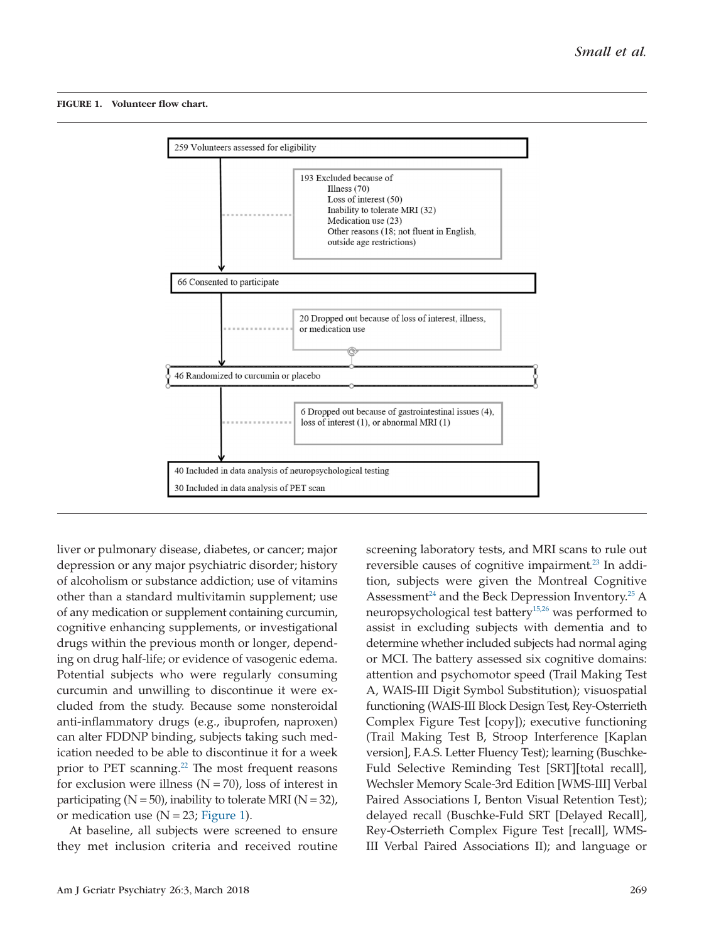<span id="page-3-0"></span>

liver or pulmonary disease, diabetes, or cancer; major depression or any major psychiatric disorder; history of alcoholism or substance addiction; use of vitamins other than a standard multivitamin supplement; use of any medication or supplement containing curcumin, cognitive enhancing supplements, or investigational drugs within the previous month or longer, depending on drug half-life; or evidence of vasogenic edema. Potential subjects who were regularly consuming curcumin and unwilling to discontinue it were excluded from the study. Because some nonsteroidal anti-inflammatory drugs (e.g., ibuprofen, naproxen) can alter FDDNP binding, subjects taking such medication needed to be able to discontinue it for a week prior to PET scanning.<sup>22</sup> The most frequent reasons for exclusion were illness  $(N = 70)$ , loss of interest in participating ( $N = 50$ ), inability to tolerate MRI ( $N = 32$ ), or medication use  $(N = 23;$  Figure 1).

At baseline, all subjects were screened to ensure they met inclusion criteria and received routine screening laboratory tests, and MRI scans to rule out reversible causes of cognitive impairment.<sup>23</sup> In addition, subjects were given the Montreal Cognitive Assessment<sup>24</sup> and the Beck Depression Inventory.<sup>25</sup> A neuropsychological test battery<sup>15,26</sup> was performed to assist in excluding subjects with dementia and to determine whether included subjects had normal aging or MCI. The battery assessed six cognitive domains: attention and psychomotor speed (Trail Making Test A, WAIS-III Digit Symbol Substitution); visuospatial functioning (WAIS-III Block Design Test, Rey-Osterrieth Complex Figure Test [copy]); executive functioning (Trail Making Test B, Stroop Interference [Kaplan version], F.A.S. Letter Fluency Test); learning (Buschke-Fuld Selective Reminding Test [SRT][total recall], Wechsler Memory Scale-3rd Edition [WMS-III] Verbal Paired Associations I, Benton Visual Retention Test); delayed recall (Buschke-Fuld SRT [Delayed Recall], Rey-Osterrieth Complex Figure Test [recall], WMS-III Verbal Paired Associations II); and language or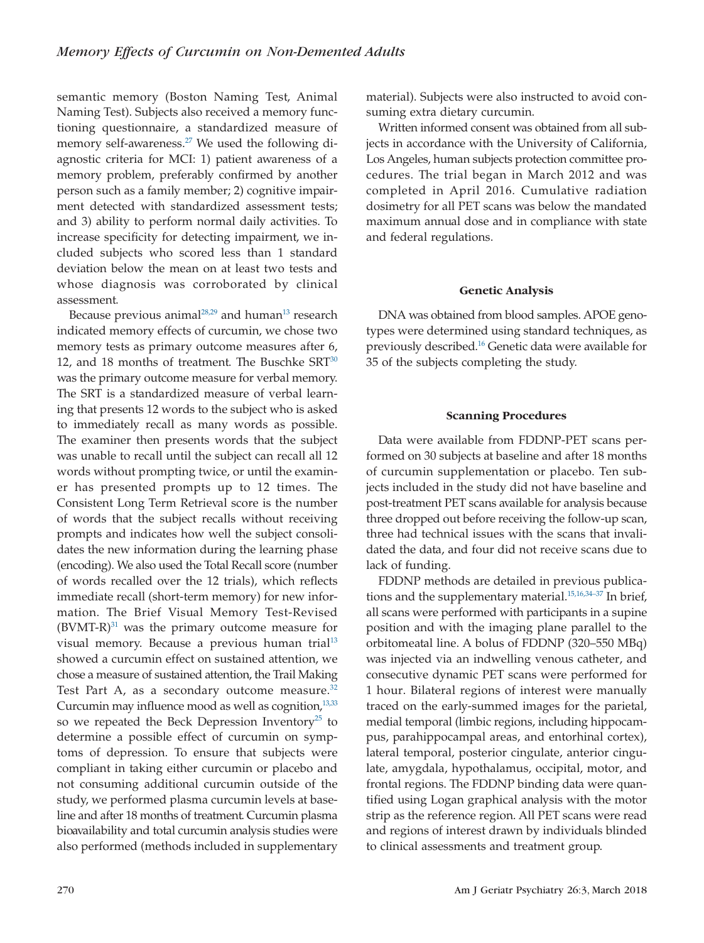semantic memory (Boston Naming Test, Animal Naming Test). Subjects also received a memory functioning questionnaire, a standardized measure of memory self-awareness[.27](#page-10-20) We used the following diagnostic criteria for MCI: 1) patient awareness of a memory problem, preferably confirmed by another person such as a family member; 2) cognitive impairment detected with standardized assessment tests; and 3) ability to perform normal daily activities. To increase specificity for detecting impairment, we included subjects who scored less than 1 standard deviation below the mean on at least two tests and whose diagnosis was corroborated by clinical assessment.

Because previous animal<sup>28,29</sup> and human<sup>13</sup> research indicated memory effects of curcumin, we chose two memory tests as primary outcome measures after 6, 12, and 18 months of treatment. The Buschke SRT<sup>30</sup> was the primary outcome measure for verbal memory. The SRT is a standardized measure of verbal learning that presents 12 words to the subject who is asked to immediately recall as many words as possible. The examiner then presents words that the subject was unable to recall until the subject can recall all 12 words without prompting twice, or until the examiner has presented prompts up to 12 times. The Consistent Long Term Retrieval score is the number of words that the subject recalls without receiving prompts and indicates how well the subject consolidates the new information during the learning phase (encoding). We also used the Total Recall score (number of words recalled over the 12 trials), which reflects immediate recall (short-term memory) for new information. The Brief Visual Memory Test-Revised  $(BVMT-R)^{31}$  was the primary outcome measure for visual memory. Because a previous human trial<sup>13</sup> showed a curcumin effect on sustained attention, we chose a measure of sustained attention, the Trail Making Test Part A, as a secondary outcome measure.<sup>32</sup> Curcumin may influence mood as well as cognition, $13,33$ so we repeated the Beck Depression Inventory<sup>25</sup> to determine a possible effect of curcumin on symptoms of depression. To ensure that subjects were compliant in taking either curcumin or placebo and not consuming additional curcumin outside of the study, we performed plasma curcumin levels at baseline and after 18 months of treatment. Curcumin plasma bioavailability and total curcumin analysis studies were also performed (methods included in supplementary material). Subjects were also instructed to avoid consuming extra dietary curcumin.

Written informed consent was obtained from all subjects in accordance with the University of California, Los Angeles, human subjects protection committee procedures. The trial began in March 2012 and was completed in April 2016. Cumulative radiation dosimetry for all PET scans was below the mandated maximum annual dose and in compliance with state and federal regulations.

#### **Genetic Analysis**

DNA was obtained from blood samples. APOE genotypes were determined using standard techniques, as previously described[.16](#page-10-11) Genetic data were available for 35 of the subjects completing the study.

#### **Scanning Procedures**

Data were available from FDDNP-PET scans performed on 30 subjects at baseline and after 18 months of curcumin supplementation or placebo. Ten subjects included in the study did not have baseline and post-treatment PET scans available for analysis because three dropped out before receiving the follow-up scan, three had technical issues with the scans that invalidated the data, and four did not receive scans due to lack of funding.

FDDNP methods are detailed in previous publications and the supplementary material.<sup>15,16,34-37</sup> In brief, all scans were performed with participants in a supine position and with the imaging plane parallel to the orbitomeatal line. A bolus of FDDNP (320–550 MBq) was injected via an indwelling venous catheter, and consecutive dynamic PET scans were performed for 1 hour. Bilateral regions of interest were manually traced on the early-summed images for the parietal, medial temporal (limbic regions, including hippocampus, parahippocampal areas, and entorhinal cortex), lateral temporal, posterior cingulate, anterior cingulate, amygdala, hypothalamus, occipital, motor, and frontal regions. The FDDNP binding data were quantified using Logan graphical analysis with the motor strip as the reference region. All PET scans were read and regions of interest drawn by individuals blinded to clinical assessments and treatment group.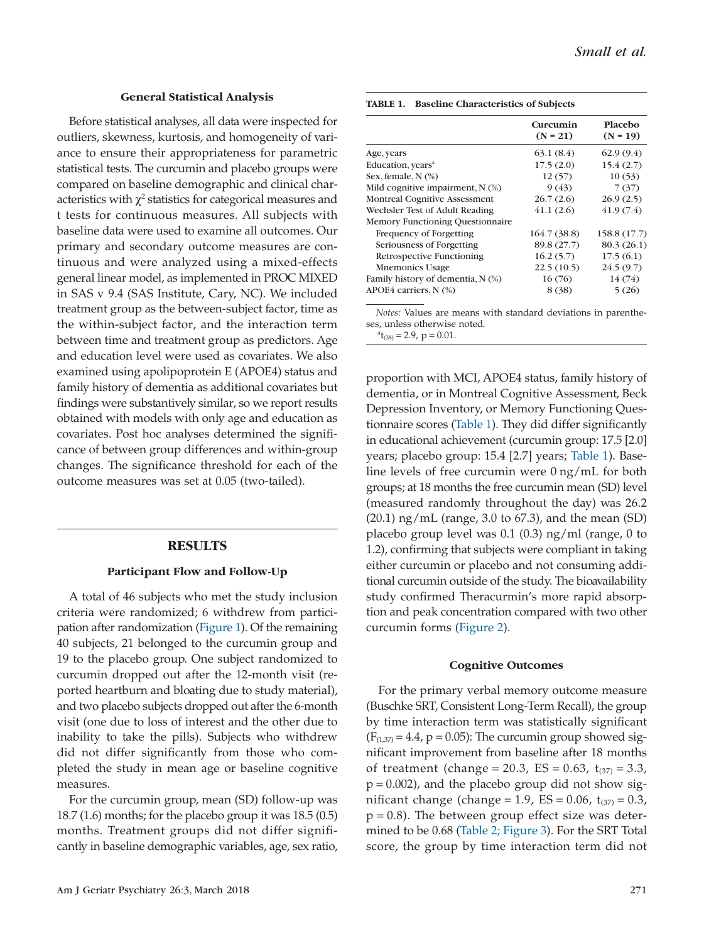#### **General Statistical Analysis**

Before statistical analyses, all data were inspected for outliers, skewness, kurtosis, and homogeneity of variance to ensure their appropriateness for parametric statistical tests. The curcumin and placebo groups were compared on baseline demographic and clinical characteristics with  $\chi^2$  statistics for categorical measures and t tests for continuous measures. All subjects with baseline data were used to examine all outcomes. Our primary and secondary outcome measures are continuous and were analyzed using a mixed-effects general linear model, as implemented in PROC MIXED in SAS v 9.4 (SAS Institute, Cary, NC). We included treatment group as the between-subject factor, time as the within-subject factor, and the interaction term between time and treatment group as predictors. Age and education level were used as covariates. We also examined using apolipoprotein E (APOE4) status and family history of dementia as additional covariates but findings were substantively similar, so we report results obtained with models with only age and education as covariates. Post hoc analyses determined the significance of between group differences and within-group changes. The significance threshold for each of the outcome measures was set at 0.05 (two-tailed).

#### **RESULTS**

#### **Participant Flow and Follow-Up**

A total of 46 subjects who met the study inclusion criteria were randomized; 6 withdrew from participation after randomization [\(Figure 1\)](#page-3-0). Of the remaining 40 subjects, 21 belonged to the curcumin group and 19 to the placebo group. One subject randomized to curcumin dropped out after the 12-month visit (reported heartburn and bloating due to study material), and two placebo subjects dropped out after the 6-month visit (one due to loss of interest and the other due to inability to take the pills). Subjects who withdrew did not differ significantly from those who completed the study in mean age or baseline cognitive measures.

For the curcumin group, mean (SD) follow-up was 18.7 (1.6) months; for the placebo group it was 18.5 (0.5) months. Treatment groups did not differ significantly in baseline demographic variables, age, sex ratio,

| <b>Baseline Characteristics of Subjects</b> |
|---------------------------------------------|
|                                             |

|                                         | Curcumin<br>$(N = 21)$ | Placebo<br>$(N = 19)$ |
|-----------------------------------------|------------------------|-----------------------|
| Age, years                              | 63.1(8.4)              | 62.9(9.4)             |
| Education, years <sup>a</sup>           | 17.5(2.0)              | 15.4(2.7)             |
| Sex, female, N (%)                      | 12(57)                 | 10(53)                |
| Mild cognitive impairment, N (%)        | 9(43)                  | 7(37)                 |
| <b>Montreal Cognitive Assessment</b>    | 26.7(2.6)              | 26.9(2.5)             |
| Wechsler Test of Adult Reading          | 41.1(2.6)              | 41.9(7.4)             |
| <b>Memory Functioning Questionnaire</b> |                        |                       |
| Frequency of Forgetting                 | 164.7 (38.8)           | 158.8 (17.7)          |
| Seriousness of Forgetting               | 89.8 (27.7)            | 80.3 (26.1)           |
| <b>Retrospective Functioning</b>        | 16.2(5.7)              | 17.5(6.1)             |
| <b>Mnemonics Usage</b>                  | 22.5(10.5)             | 24.5(9.7)             |
| Family history of dementia, N (%)       | 16(76)                 | 14(74)                |
| APOE4 carriers, N (%)                   | 8 (38)                 | 5(26)                 |
|                                         |                        |                       |

*Notes:* Values are means with standard deviations in parentheses, unless otherwise noted.

<span id="page-5-0"></span> $\mathrm{^{a}t_{(38)}} = 2.9, \mathrm{p} = 0.01.$ 

proportion with MCI, APOE4 status, family history of dementia, or in Montreal Cognitive Assessment, Beck Depression Inventory, or Memory Functioning Questionnaire scores (Table 1). They did differ significantly in educational achievement (curcumin group: 17.5 [2.0] years; placebo group: 15.4 [2.7] years; Table 1). Baseline levels of free curcumin were 0 ng/mL for both groups; at 18 months the free curcumin mean (SD) level (measured randomly throughout the day) was 26.2 (20.1) ng/mL (range, 3.0 to 67.3), and the mean (SD) placebo group level was 0.1 (0.3) ng/ml (range, 0 to 1.2), confirming that subjects were compliant in taking either curcumin or placebo and not consuming additional curcumin outside of the study. The bioavailability study confirmed Theracurmin's more rapid absorption and peak concentration compared with two other curcumin forms [\(Figure 2\)](#page-6-0).

#### **Cognitive Outcomes**

For the primary verbal memory outcome measure (Buschke SRT, Consistent Long-Term Recall), the group by time interaction term was statistically significant  $(F<sub>(1,37)</sub> = 4.4, p = 0.05)$ : The curcumin group showed significant improvement from baseline after 18 months of treatment (change = 20.3, ES = 0.63,  $t_{(37)} = 3.3$ ,  $p = 0.002$ ), and the placebo group did not show significant change (change = 1.9, ES = 0.06,  $t_{(37)} = 0.3$ ,  $p = 0.8$ ). The between group effect size was determined to be 0.68 [\(Table 2; Figure 3\)](#page-7-0). For the SRT Total score, the group by time interaction term did not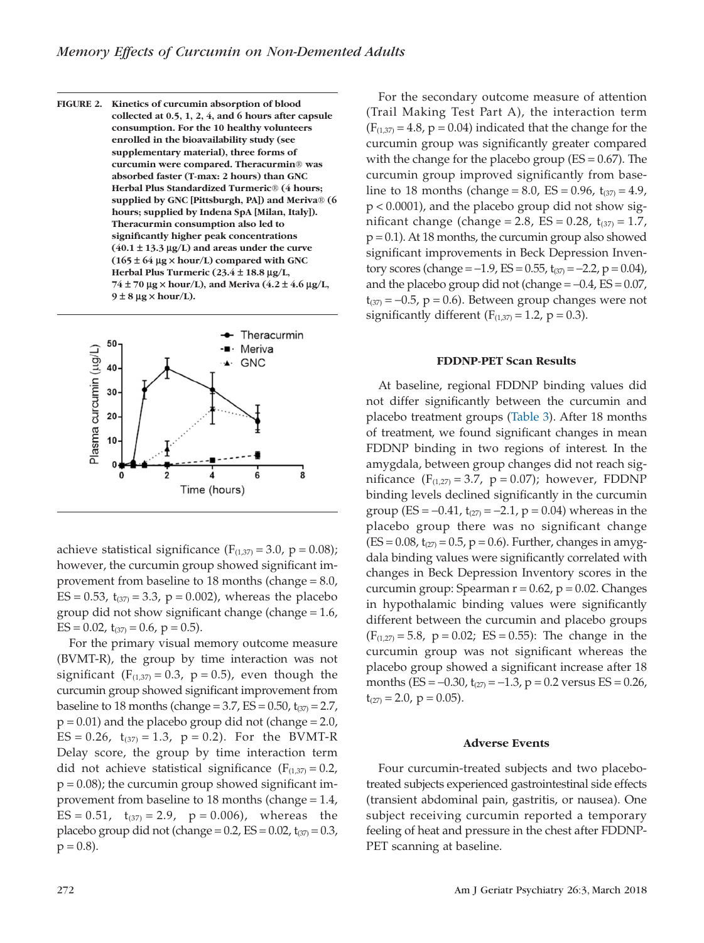<span id="page-6-0"></span>**FIGURE 2. Kinetics of curcumin absorption of blood collected at 0.5, 1, 2, 4, and 6 hours after capsule consumption. For the 10 healthy volunteers enrolled in the bioavailability study (see supplementary material), three forms of curcumin were compared. Theracurmin® was absorbed faster (T-max: 2 hours) than GNC Herbal Plus Standardized Turmeric® (4 hours; supplied by GNC [Pittsburgh, PA]) and Meriva® (6 hours; supplied by Indena SpA [Milan, Italy]). Theracurmin consumption also led to significantly higher peak concentrations (40.1 ± 13.3 -g/L) and areas under the curve (165 ± 64 -g × hour/L) compared with GNC Herbal Plus Turmeric (23.4 ± 18.8 -g/L, 74 ± 70 -g × hour/L), and Meriva (4.2 ± 4.6 -g/L, 9 ± 8 -g × hour/L).**



achieve statistical significance ( $F_{(1,37)} = 3.0$ ,  $p = 0.08$ ); however, the curcumin group showed significant improvement from baseline to 18 months (change = 8.0, ES = 0.53,  $t_{(37)} = 3.3$ , p = 0.002), whereas the placebo group did not show significant change (change = 1.6,  $ES = 0.02$ ,  $t_{(37)} = 0.6$ ,  $p = 0.5$ ).

For the primary visual memory outcome measure (BVMT-R), the group by time interaction was not significant  $(F<sub>(1,37)</sub> = 0.3, p = 0.5)$ , even though the curcumin group showed significant improvement from baseline to 18 months (change =  $3.7$ , ES =  $0.50$ ,  $t_{(37)} = 2.7$ ,  $p = 0.01$ ) and the placebo group did not (change = 2.0, ES = 0.26,  $t_{(37)} = 1.3$ , p = 0.2). For the BVMT-R Delay score, the group by time interaction term did not achieve statistical significance  $(F_{(1,37)} = 0.2)$ ,  $p = 0.08$ ); the curcumin group showed significant improvement from baseline to 18 months (change = 1.4, ES = 0.51,  $t_{(37)} = 2.9$ ,  $p = 0.006$ ), whereas the placebo group did not (change =  $0.2$ , ES =  $0.02$ ,  $t_{(37)} = 0.3$ ,  $p = 0.8$ ).

For the secondary outcome measure of attention (Trail Making Test Part A), the interaction term  $(F<sub>(1,37)</sub> = 4.8, p = 0.04)$  indicated that the change for the curcumin group was significantly greater compared with the change for the placebo group  $(ES = 0.67)$ . The curcumin group improved significantly from baseline to 18 months (change = 8.0, ES = 0.96,  $t_{(37)} = 4.9$ , p < 0.0001), and the placebo group did not show significant change (change = 2.8, ES = 0.28,  $t_{(37)} = 1.7$ ,  $p = 0.1$ ). At 18 months, the curcumin group also showed significant improvements in Beck Depression Inventory scores (change =  $-1.9$ , ES = 0.55, t<sub>(37)</sub> =  $-2.2$ , p = 0.04), and the placebo group did not (change  $=-0.4$ ,  $ES = 0.07$ ,  $t_{(37)} = -0.5$ , p = 0.6). Between group changes were not significantly different ( $F_{(1,37)} = 1.2$ ,  $p = 0.3$ ).

#### **FDDNP-PET Scan Results**

At baseline, regional FDDNP binding values did not differ significantly between the curcumin and placebo treatment groups [\(Table 3\)](#page-8-0). After 18 months of treatment, we found significant changes in mean FDDNP binding in two regions of interest. In the amygdala, between group changes did not reach significance  $(F_{(1,27)} = 3.7, p = 0.07)$ ; however, FDDNP binding levels declined significantly in the curcumin group (ES =  $-0.41$ , t<sub>(27)</sub> =  $-2.1$ , p = 0.04) whereas in the placebo group there was no significant change  $(ES = 0.08, t_{27}) = 0.5, p = 0.6)$ . Further, changes in amygdala binding values were significantly correlated with changes in Beck Depression Inventory scores in the curcumin group: Spearman  $r = 0.62$ ,  $p = 0.02$ . Changes in hypothalamic binding values were significantly different between the curcumin and placebo groups  $(F<sub>(1,27)</sub> = 5.8, p = 0.02; ES = 0.55):$  The change in the curcumin group was not significant whereas the placebo group showed a significant increase after 18 months (ES =  $-0.30$ , t<sub>(27)</sub> =  $-1.3$ , p = 0.2 versus ES = 0.26,  $t_{(27)} = 2.0$ ,  $p = 0.05$ ).

#### **Adverse Events**

Four curcumin-treated subjects and two placebotreated subjects experienced gastrointestinal side effects (transient abdominal pain, gastritis, or nausea). One subject receiving curcumin reported a temporary feeling of heat and pressure in the chest after FDDNP-PET scanning at baseline.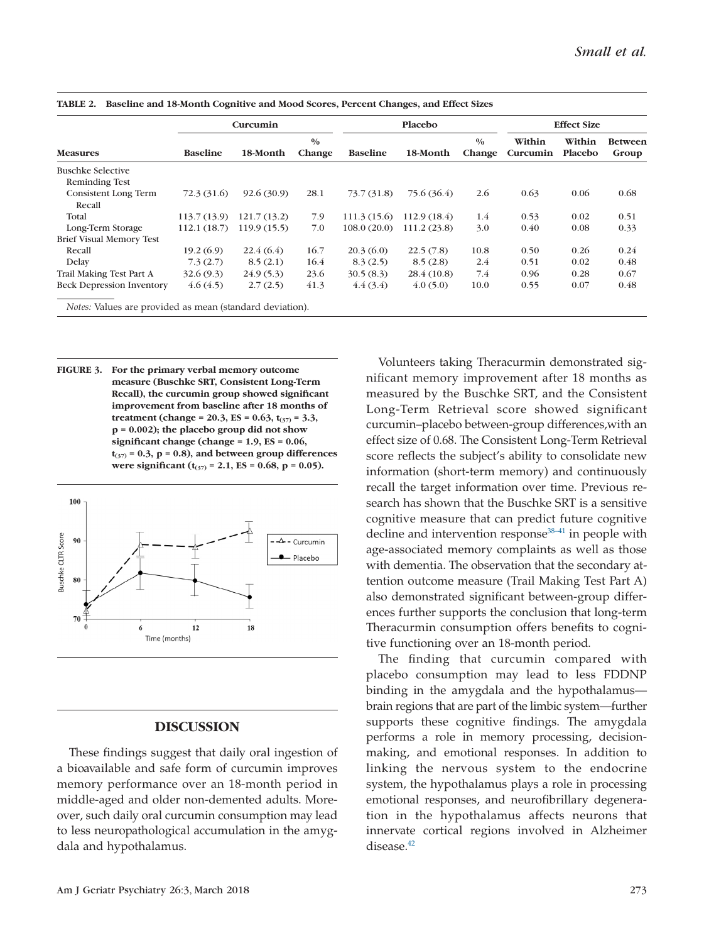|                                                                | Curcumin        |             |               |                 | Placebo     | <b>Effect Size</b>      |                    |                   |                         |
|----------------------------------------------------------------|-----------------|-------------|---------------|-----------------|-------------|-------------------------|--------------------|-------------------|-------------------------|
| <b>Measures</b>                                                | <b>Baseline</b> | 18-Month    | 0/0<br>Change | <b>Baseline</b> | 18-Month    | $\frac{0}{0}$<br>Change | Within<br>Curcumin | Within<br>Placebo | <b>Between</b><br>Group |
| <b>Buschke Selective</b>                                       |                 |             |               |                 |             |                         |                    |                   |                         |
| <b>Reminding Test</b><br><b>Consistent Long Term</b><br>Recall | 72.3 (31.6)     | 92.6(30.9)  | 28.1          | 73.7 (31.8)     | 75.6 (36.4) | 2.6                     | 0.63               | 0.06              | 0.68                    |
| Total                                                          | 113.7(13.9)     | 121.7(13.2) | 7.9           | 111.3(15.6)     | 112.9(18.4) | 1.4                     | 0.53               | 0.02              | 0.51                    |
| Long-Term Storage                                              | 112.1(18.7)     | 119.9(15.5) | 7.0           | 108.0(20.0)     | 111.2(23.8) | 3.0                     | 0.40               | 0.08              | 0.33                    |
| <b>Brief Visual Memory Test</b>                                |                 |             |               |                 |             |                         |                    |                   |                         |
| Recall                                                         | 19.2(6.9)       | 22.4(6.4)   | 16.7          | 20.3(6.0)       | 22.5(7.8)   | 10.8                    | 0.50               | 0.26              | 0.24                    |
| Delay                                                          | 7.3(2.7)        | 8.5(2.1)    | 16.4          | 8.3(2.5)        | 8.5(2.8)    | 2.4                     | 0.51               | 0.02              | 0.48                    |
| Trail Making Test Part A                                       | 32.6(9.3)       | 24.9(5.3)   | 23.6          | 30.5(8.3)       | 28.4(10.8)  | 7.4                     | 0.96               | 0.28              | 0.67                    |
| <b>Beck Depression Inventory</b>                               | 4.6(4.5)        | 2.7(2.5)    | 41.3          | 4.4(3.4)        | 4.0(5.0)    | 10.0                    | 0.55               | 0.07              | 0.48                    |

<span id="page-7-0"></span>**TABLE 2. Baseline and 18-Month Cognitive and Mood Scores, Percent Changes, and Effect Sizes**

*Notes:* Values are provided as mean (standard deviation).

**FIGURE 3. For the primary verbal memory outcome measure (Buschke SRT, Consistent Long-Term Recall), the curcumin group showed significant improvement from baseline after 18 months of treatment** (change = 20.3, ES = 0.63,  $t_{(37)}$  = 3.3, **p = 0.002); the placebo group did not show significant change (change = 1.9, ES = 0.06,**  $t_{(37)} = 0.3$ ,  $p = 0.8$ ), and between group differences were significant  $(t_{(37)} = 2.1, ES = 0.68, p = 0.05)$ .



#### **DISCUSSION**

These findings suggest that daily oral ingestion of a bioavailable and safe form of curcumin improves memory performance over an 18-month period in middle-aged and older non-demented adults. Moreover, such daily oral curcumin consumption may lead to less neuropathological accumulation in the amygdala and hypothalamus.

Volunteers taking Theracurmin demonstrated significant memory improvement after 18 months as measured by the Buschke SRT, and the Consistent Long-Term Retrieval score showed significant curcumin–placebo between-group differences,with an effect size of 0.68. The Consistent Long-Term Retrieval score reflects the subject's ability to consolidate new information (short-term memory) and continuously recall the target information over time. Previous research has shown that the Buschke SRT is a sensitive cognitive measure that can predict future cognitive decline and intervention response<sup>38-41</sup> in people with age-associated memory complaints as well as those with dementia. The observation that the secondary attention outcome measure (Trail Making Test Part A) also demonstrated significant between-group differences further supports the conclusion that long-term Theracurmin consumption offers benefits to cognitive functioning over an 18-month period.

The finding that curcumin compared with placebo consumption may lead to less FDDNP binding in the amygdala and the hypothalamus brain regions that are part of the limbic system—further supports these cognitive findings. The amygdala performs a role in memory processing, decisionmaking, and emotional responses. In addition to linking the nervous system to the endocrine system, the hypothalamus plays a role in processing emotional responses, and neurofibrillary degeneration in the hypothalamus affects neurons that innervate cortical regions involved in Alzheimer disease.<sup>42</sup>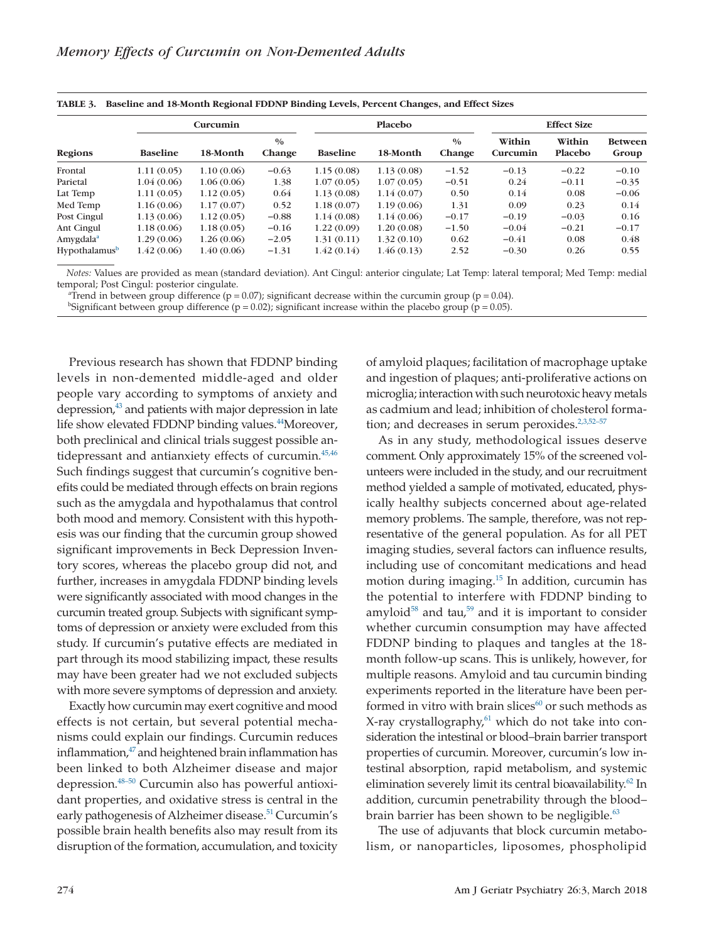| Regions                   | Curcumin        |            |               |                 | Placebo    |                         | <b>Effect Size</b> |                   |                         |  |
|---------------------------|-----------------|------------|---------------|-----------------|------------|-------------------------|--------------------|-------------------|-------------------------|--|
|                           | <b>Baseline</b> | 18-Month   | 0/0<br>Change | <b>Baseline</b> | 18-Month   | $\frac{0}{0}$<br>Change | Within<br>Curcumin | Within<br>Placebo | <b>Between</b><br>Group |  |
| Frontal                   | 1.11(0.05)      | 1.10(0.06) | $-0.63$       | 1.15(0.08)      | 1.13(0.08) | $-1.52$                 | $-0.13$            | $-0.22$           | $-0.10$                 |  |
| Parietal                  | 1.04(0.06)      | 1.06(0.06) | 1.38          | 1.07(0.05)      | 1.07(0.05) | $-0.51$                 | 0.24               | $-0.11$           | $-0.35$                 |  |
| Lat Temp                  | 1.11(0.05)      | 1.12(0.05) | 0.64          | 1.13(0.08)      | 1.14(0.07) | 0.50                    | 0.14               | 0.08              | $-0.06$                 |  |
| Med Temp                  | 1.16(0.06)      | 1.17(0.07) | 0.52          | 1.18(0.07)      | 1.19(0.06) | 1.31                    | 0.09               | 0.23              | 0.14                    |  |
| Post Cingul               | 1.13(0.06)      | 1.12(0.05) | $-0.88$       | 1.14(0.08)      | 1.14(0.06) | $-0.17$                 | $-0.19$            | $-0.03$           | 0.16                    |  |
| Ant Cingul                | 1.18(0.06)      | 1.18(0.05) | $-0.16$       | 1.22(0.09)      | 1.20(0.08) | $-1.50$                 | $-0.04$            | $-0.21$           | $-0.17$                 |  |
| Amygdala <sup>a</sup>     | 1.29(0.06)      | 1.26(0.06) | $-2.05$       | 1.31(0.11)      | 1.32(0.10) | 0.62                    | $-0.41$            | 0.08              | 0.48                    |  |
| Hypothalamus <sup>b</sup> | 1.42(0.06)      | 1.40(0.06) | $-1.31$       | 1.42(0.14)      | 1.46(0.13) | 2.52                    | $-0.30$            | 0.26              | 0.55                    |  |

<span id="page-8-0"></span>**TABLE 3. Baseline and 18-Month Regional FDDNP Binding Levels, Percent Changes, and Effect Sizes**

*Notes:* Values are provided as mean (standard deviation). Ant Cingul: anterior cingulate; Lat Temp: lateral temporal; Med Temp: medial temporal; Post Cingul: posterior cingulate.

<span id="page-8-1"></span> $^{\textrm{a}}$ Trend in between group difference (p = 0.07); significant decrease within the curcumin group (p = 0.04).

<span id="page-8-2"></span> $\mathrm{^{b}S}$ ignificant between group difference (p = 0.02); significant increase within the placebo group (p = 0.05).

Previous research has shown that FDDNP binding levels in non-demented middle-aged and older people vary according to symptoms of anxiety and depression,<sup>43</sup> and patients with major depression in late life show elevated FDDNP binding values.<sup>44</sup>Moreover, both preclinical and clinical trials suggest possible antidepressant and antianxiety effects of curcumin.<sup>45,46</sup> Such findings suggest that curcumin's cognitive benefits could be mediated through effects on brain regions such as the amygdala and hypothalamus that control both mood and memory. Consistent with this hypothesis was our finding that the curcumin group showed significant improvements in Beck Depression Inventory scores, whereas the placebo group did not, and further, increases in amygdala FDDNP binding levels were significantly associated with mood changes in the curcumin treated group. Subjects with significant symptoms of depression or anxiety were excluded from this study. If curcumin's putative effects are mediated in part through its mood stabilizing impact, these results may have been greater had we not excluded subjects with more severe symptoms of depression and anxiety.

Exactly how curcumin may exert cognitive and mood effects is not certain, but several potential mechanisms could explain our findings. Curcumin reduces inflammation, $47$  and heightened brain inflammation has been linked to both Alzheimer disease and major depression[.48–50](#page-11-5) Curcumin also has powerful antioxidant properties, and oxidative stress is central in the early pathogenesis of Alzheimer disease.<sup>51</sup> Curcumin's possible brain health benefits also may result from its disruption of the formation, accumulation, and toxicity of amyloid plaques; facilitation of macrophage uptake and ingestion of plaques; anti-proliferative actions on microglia; interaction with such neurotoxic heavy metals as cadmium and lead; inhibition of cholesterol formation; and decreases in serum peroxides. $2,3,52-57$ 

As in any study, methodological issues deserve comment. Only approximately 15% of the screened volunteers were included in the study, and our recruitment method yielded a sample of motivated, educated, physically healthy subjects concerned about age-related memory problems. The sample, therefore, was not representative of the general population. As for all PET imaging studies, several factors can influence results, including use of concomitant medications and head motion during imaging[.15](#page-10-10) In addition, curcumin has the potential to interfere with FDDNP binding to amyloid $58$  and tau, $59$  and it is important to consider whether curcumin consumption may have affected FDDNP binding to plaques and tangles at the 18 month follow-up scans. This is unlikely, however, for multiple reasons. Amyloid and tau curcumin binding experiments reported in the literature have been performed in vitro with brain slices $60$  or such methods as X-ray crystallography,<sup>61</sup> which do not take into consideration the intestinal or blood–brain barrier transport properties of curcumin. Moreover, curcumin's low intestinal absorption, rapid metabolism, and systemic elimination severely limit its central bioavailability.<sup>62</sup> In addition, curcumin penetrability through the blood– brain barrier has been shown to be negligible.<sup>63</sup>

The use of adjuvants that block curcumin metabolism, or nanoparticles, liposomes, phospholipid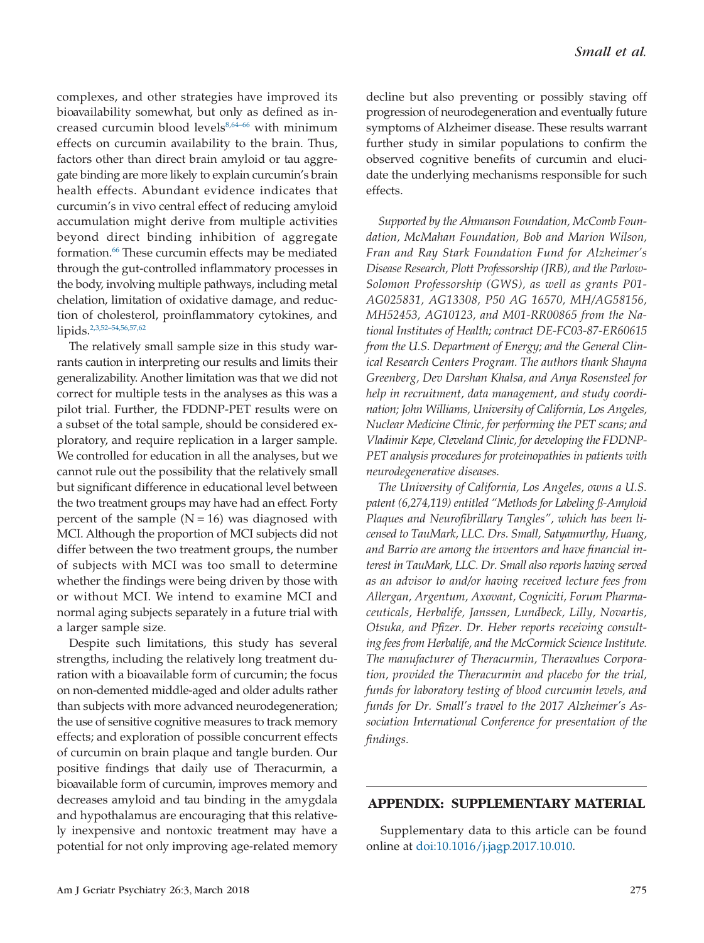complexes, and other strategies have improved its bioavailability somewhat, but only as defined as increased curcumin blood levels<sup>8,64-66</sup> with minimum effects on curcumin availability to the brain. Thus, factors other than direct brain amyloid or tau aggregate binding are more likely to explain curcumin's brain health effects. Abundant evidence indicates that curcumin's in vivo central effect of reducing amyloid accumulation might derive from multiple activities beyond direct binding inhibition of aggregate formation[.66](#page-11-13) These curcumin effects may be mediated through the gut-controlled inflammatory processes in the body, involving multiple pathways, including metal chelation, limitation of oxidative damage, and reduction of cholesterol, proinflammatory cytokines, and lipids.<sup>2,3,52-54,56,57,62</sup>

The relatively small sample size in this study warrants caution in interpreting our results and limits their generalizability. Another limitation was that we did not correct for multiple tests in the analyses as this was a pilot trial. Further, the FDDNP-PET results were on a subset of the total sample, should be considered exploratory, and require replication in a larger sample. We controlled for education in all the analyses, but we cannot rule out the possibility that the relatively small but significant difference in educational level between the two treatment groups may have had an effect. Forty percent of the sample  $(N = 16)$  was diagnosed with MCI. Although the proportion of MCI subjects did not differ between the two treatment groups, the number of subjects with MCI was too small to determine whether the findings were being driven by those with or without MCI. We intend to examine MCI and normal aging subjects separately in a future trial with a larger sample size.

Despite such limitations, this study has several strengths, including the relatively long treatment duration with a bioavailable form of curcumin; the focus on non-demented middle-aged and older adults rather than subjects with more advanced neurodegeneration; the use of sensitive cognitive measures to track memory effects; and exploration of possible concurrent effects of curcumin on brain plaque and tangle burden. Our positive findings that daily use of Theracurmin, a bioavailable form of curcumin, improves memory and decreases amyloid and tau binding in the amygdala and hypothalamus are encouraging that this relatively inexpensive and nontoxic treatment may have a potential for not only improving age-related memory decline but also preventing or possibly staving off progression of neurodegeneration and eventually future symptoms of Alzheimer disease. These results warrant further study in similar populations to confirm the observed cognitive benefits of curcumin and elucidate the underlying mechanisms responsible for such effects.

*Supported by the Ahmanson Foundation, McComb Foundation, McMahan Foundation, Bob and Marion Wilson, Fran and Ray Stark Foundation Fund for Alzheimer's Disease Research, Plott Professorship (JRB), and the Parlow-Solomon Professorship (GWS), as well as grants P01- AG025831, AG13308, P50 AG 16570, MH/AG58156, MH52453, AG10123, and M01-RR00865 from the National Institutes of Health; contract DE-FC03-87-ER60615 from the U.S. Department of Energy; and the General Clinical Research Centers Program. The authors thank Shayna Greenberg, Dev Darshan Khalsa, and Anya Rosensteel for help in recruitment, data management, and study coordination; John Williams, University of California, Los Angeles, Nuclear Medicine Clinic, for performing the PET scans; and Vladimir Kepe, Cleveland Clinic, for developing the FDDNP-PET analysis procedures for proteinopathies in patients with neurodegenerative diseases.*

*The University of California, Los Angeles, owns a U.S. patent (6,274,119) entitled "Methods for Labeling ß-Amyloid Plaques and Neurofibrillary Tangles", which has been licensed to TauMark, LLC. Drs. Small, Satyamurthy, Huang, and Barrio are among the inventors and have financial interest in TauMark, LLC. Dr. Small also reports having served as an advisor to and/or having received lecture fees from Allergan, Argentum, Axovant, Cogniciti, Forum Pharmaceuticals, Herbalife, Janssen, Lundbeck, Lilly, Novartis, Otsuka, and Pfizer. Dr. Heber reports receiving consulting fees from Herbalife, and the McCormick Science Institute. The manufacturer of Theracurmin, Theravalues Corporation, provided the Theracurmin and placebo for the trial, funds for laboratory testing of blood curcumin levels, and funds for Dr. Small's travel to the 2017 Alzheimer's Association International Conference for presentation of the findings.*

## **APPENDIX: SUPPLEMENTARY MATERIAL**

Supplementary data to this article can be found online at [doi:10.1016/j.jagp.2017.10.010.](https://doi.org/10.1016/j.jagp.2017.10.010)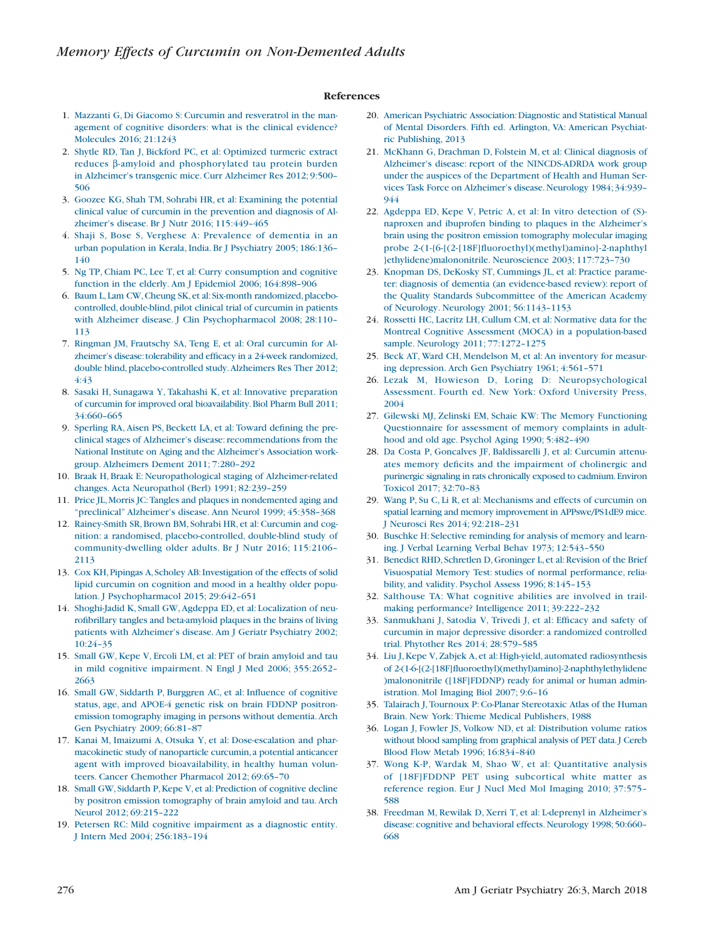#### **References**

- <span id="page-10-0"></span>1. [Mazzanti G, Di Giacomo S: Curcumin and resveratrol in the man](http://refhub.elsevier.com/S1064-7481(17)30511-0/sr0010)[agement of cognitive disorders: what is the clinical evidence?](http://refhub.elsevier.com/S1064-7481(17)30511-0/sr0010) [Molecules 2016; 21:1243](http://refhub.elsevier.com/S1064-7481(17)30511-0/sr0010)
- <span id="page-10-1"></span>2. [Shytle RD, Tan J, Bickford PC, et al: Optimized turmeric extract](http://refhub.elsevier.com/S1064-7481(17)30511-0/sr0015) reduces β[-amyloid and phosphorylated tau protein burden](http://refhub.elsevier.com/S1064-7481(17)30511-0/sr0015) [in Alzheimer's transgenic mice. Curr Alzheimer Res 2012; 9:500–](http://refhub.elsevier.com/S1064-7481(17)30511-0/sr0015) [506](http://refhub.elsevier.com/S1064-7481(17)30511-0/sr0015)
- 3. [Goozee KG, Shah TM, Sohrabi HR, et al: Examining the potential](http://refhub.elsevier.com/S1064-7481(17)30511-0/sr0020) [clinical value of curcumin in the prevention and diagnosis of Al](http://refhub.elsevier.com/S1064-7481(17)30511-0/sr0020)[zheimer's disease. Br J Nutr 2016; 115:449–465](http://refhub.elsevier.com/S1064-7481(17)30511-0/sr0020)
- <span id="page-10-2"></span>4. [Shaji S, Bose S, Verghese A: Prevalence of dementia in an](http://refhub.elsevier.com/S1064-7481(17)30511-0/sr0025) [urban population in Kerala, India. Br J Psychiatry 2005; 186:136–](http://refhub.elsevier.com/S1064-7481(17)30511-0/sr0025) [140](http://refhub.elsevier.com/S1064-7481(17)30511-0/sr0025)
- 5. [Ng TP, Chiam PC, Lee T, et al: Curry consumption and cognitive](http://refhub.elsevier.com/S1064-7481(17)30511-0/sr0030) [function in the elderly. Am J Epidemiol 2006; 164:898–906](http://refhub.elsevier.com/S1064-7481(17)30511-0/sr0030)
- <span id="page-10-3"></span>6. [Baum L,Lam CW,Cheung SK,et al:Six-month randomized,placebo](http://refhub.elsevier.com/S1064-7481(17)30511-0/sr0035)controlled, double-blind, pilot clinical trial of curcumin in patients [with Alzheimer disease. J Clin Psychopharmacol 2008; 28:110–](http://refhub.elsevier.com/S1064-7481(17)30511-0/sr0035) [113](http://refhub.elsevier.com/S1064-7481(17)30511-0/sr0035)
- 7. [Ringman JM, Frautschy SA, Teng E, et al: Oral curcumin for Al](http://refhub.elsevier.com/S1064-7481(17)30511-0/sr0040)zheimer's disease: tolerability and efficacy in a 24-week randomized, [double blind,placebo-controlled study.Alzheimers Res Ther 2012;](http://refhub.elsevier.com/S1064-7481(17)30511-0/sr0040) [4:43](http://refhub.elsevier.com/S1064-7481(17)30511-0/sr0040)
- <span id="page-10-4"></span>8. [Sasaki H, Sunagawa Y, Takahashi K, et al: Innovative preparation](http://refhub.elsevier.com/S1064-7481(17)30511-0/sr0045) [of curcumin for improved oral bioavailability.Biol Pharm Bull 2011;](http://refhub.elsevier.com/S1064-7481(17)30511-0/sr0045) [34:660–665](http://refhub.elsevier.com/S1064-7481(17)30511-0/sr0045)
- <span id="page-10-5"></span>9. [Sperling RA, Aisen PS, Beckett LA, et al: Toward defining the pre](http://refhub.elsevier.com/S1064-7481(17)30511-0/sr0050)[clinical stages of Alzheimer's disease: recommendations from the](http://refhub.elsevier.com/S1064-7481(17)30511-0/sr0050) [National Institute on Aging and the Alzheimer's Association work](http://refhub.elsevier.com/S1064-7481(17)30511-0/sr0050)[group. Alzheimers Dement 2011; 7:280–292](http://refhub.elsevier.com/S1064-7481(17)30511-0/sr0050)
- <span id="page-10-6"></span>10. [Braak H, Braak E: Neuropathological staging of Alzheimer-related](http://refhub.elsevier.com/S1064-7481(17)30511-0/sr0055) [changes. Acta Neuropathol \(Berl\) 1991; 82:239–259](http://refhub.elsevier.com/S1064-7481(17)30511-0/sr0055)
- 11. [Price JL,Morris JC:Tangles and plaques in nondemented aging and](http://refhub.elsevier.com/S1064-7481(17)30511-0/sr0060) ["preclinical" Alzheimer's disease. Ann Neurol 1999; 45:358–368](http://refhub.elsevier.com/S1064-7481(17)30511-0/sr0060)
- <span id="page-10-7"></span>12. [Rainey-Smith SR, Brown BM, Sohrabi HR, et al: Curcumin and cog](http://refhub.elsevier.com/S1064-7481(17)30511-0/sr0065)[nition: a randomised, placebo-controlled, double-blind study of](http://refhub.elsevier.com/S1064-7481(17)30511-0/sr0065) [community-dwelling older adults. Br J Nutr 2016; 115:2106–](http://refhub.elsevier.com/S1064-7481(17)30511-0/sr0065) [2113](http://refhub.elsevier.com/S1064-7481(17)30511-0/sr0065)
- <span id="page-10-8"></span>13. [Cox KH,Pipingas A,Scholey AB:Investigation of the effects of solid](http://refhub.elsevier.com/S1064-7481(17)30511-0/sr0070) [lipid curcumin on cognition and mood in a healthy older popu](http://refhub.elsevier.com/S1064-7481(17)30511-0/sr0070)[lation. J Psychopharmacol 2015; 29:642–651](http://refhub.elsevier.com/S1064-7481(17)30511-0/sr0070)
- <span id="page-10-9"></span>14. [Shoghi-Jadid K, Small GW, Agdeppa ED, et al: Localization of neu](http://refhub.elsevier.com/S1064-7481(17)30511-0/sr0075)[rofibrillary tangles and beta-amyloid plaques in the brains of living](http://refhub.elsevier.com/S1064-7481(17)30511-0/sr0075) [patients with Alzheimer's disease. Am J Geriatr Psychiatry 2002;](http://refhub.elsevier.com/S1064-7481(17)30511-0/sr0075) [10:24–35](http://refhub.elsevier.com/S1064-7481(17)30511-0/sr0075)
- <span id="page-10-10"></span>15. [Small GW, Kepe V, Ercoli LM, et al: PET of brain amyloid and tau](http://refhub.elsevier.com/S1064-7481(17)30511-0/sr0080) [in mild cognitive impairment. N Engl J Med 2006; 355:2652–](http://refhub.elsevier.com/S1064-7481(17)30511-0/sr0080) [2663](http://refhub.elsevier.com/S1064-7481(17)30511-0/sr0080)
- <span id="page-10-11"></span>16. [Small GW, Siddarth P, Burggren AC, et al: Influence of cognitive](http://refhub.elsevier.com/S1064-7481(17)30511-0/sr0085) [status, age, and APOE-4 genetic risk on brain FDDNP positron](http://refhub.elsevier.com/S1064-7481(17)30511-0/sr0085)[emission tomography imaging in persons without dementia. Arch](http://refhub.elsevier.com/S1064-7481(17)30511-0/sr0085) [Gen Psychiatry 2009; 66:81–87](http://refhub.elsevier.com/S1064-7481(17)30511-0/sr0085)
- <span id="page-10-12"></span>17. [Kanai M, Imaizumi A, Otsuka Y, et al: Dose-escalation and phar](http://refhub.elsevier.com/S1064-7481(17)30511-0/sr0090)[macokinetic study of nanoparticle curcumin,a potential anticancer](http://refhub.elsevier.com/S1064-7481(17)30511-0/sr0090) [agent with improved bioavailability, in healthy human volun](http://refhub.elsevier.com/S1064-7481(17)30511-0/sr0090)[teers. Cancer Chemother Pharmacol 2012; 69:65–70](http://refhub.elsevier.com/S1064-7481(17)30511-0/sr0090)
- <span id="page-10-13"></span>18. Small GW, Siddarth P, Kepe V, et al: Prediction of cognitive decline [by positron emission tomography of brain amyloid and tau. Arch](http://refhub.elsevier.com/S1064-7481(17)30511-0/sr0095) [Neurol 2012; 69:215–222](http://refhub.elsevier.com/S1064-7481(17)30511-0/sr0095)
- <span id="page-10-14"></span>19. [Petersen RC: Mild cognitive impairment as a diagnostic entity.](http://refhub.elsevier.com/S1064-7481(17)30511-0/sr0100) [J Intern Med 2004; 256:183–194](http://refhub.elsevier.com/S1064-7481(17)30511-0/sr0100)
- <span id="page-10-15"></span>20. [American Psychiatric Association:Diagnostic and Statistical Manual](http://refhub.elsevier.com/S1064-7481(17)30511-0/sr0105) [of Mental Disorders. Fifth ed. Arlington, VA: American Psychiat](http://refhub.elsevier.com/S1064-7481(17)30511-0/sr0105)[ric Publishing, 2013](http://refhub.elsevier.com/S1064-7481(17)30511-0/sr0105)
- 21. [McKhann G, Drachman D, Folstein M, et al: Clinical diagnosis of](http://refhub.elsevier.com/S1064-7481(17)30511-0/sr0110) [Alzheimer's disease: report of the NINCDS-ADRDA work group](http://refhub.elsevier.com/S1064-7481(17)30511-0/sr0110) [under the auspices of the Department of Health and Human Ser](http://refhub.elsevier.com/S1064-7481(17)30511-0/sr0110)[vices Task Force on Alzheimer's disease.Neurology 1984;34:939–](http://refhub.elsevier.com/S1064-7481(17)30511-0/sr0110) [944](http://refhub.elsevier.com/S1064-7481(17)30511-0/sr0110)
- <span id="page-10-16"></span>22. [Agdeppa ED, Kepe V, Petric A, et al: In vitro detection of \(S\)](http://refhub.elsevier.com/S1064-7481(17)30511-0/sr0115) [naproxen and ibuprofen binding to plaques in the Alzheimer's](http://refhub.elsevier.com/S1064-7481(17)30511-0/sr0115) [brain using the positron emission tomography molecular imaging](http://refhub.elsevier.com/S1064-7481(17)30511-0/sr0115) [probe 2-\(1-{6-\[\(2-\[18F\]fluoroethyl\)\(methyl\)amino\]-2-naphthyl](http://refhub.elsevier.com/S1064-7481(17)30511-0/sr0115) [}ethylidene\)malononitrile. Neuroscience 2003; 117:723–730](http://refhub.elsevier.com/S1064-7481(17)30511-0/sr0115)
- <span id="page-10-17"></span>23. [Knopman DS, DeKosky ST, Cummings JL, et al: Practice parame](http://refhub.elsevier.com/S1064-7481(17)30511-0/sr0120)[ter: diagnosis of dementia \(an evidence-based review\): report of](http://refhub.elsevier.com/S1064-7481(17)30511-0/sr0120) [the Quality Standards Subcommittee of the American Academy](http://refhub.elsevier.com/S1064-7481(17)30511-0/sr0120) [of Neurology. Neurology 2001; 56:1143–1153](http://refhub.elsevier.com/S1064-7481(17)30511-0/sr0120)
- <span id="page-10-18"></span>24. [Rossetti HC, Lacritz LH, Cullum CM, et al: Normative data for the](http://refhub.elsevier.com/S1064-7481(17)30511-0/sr0125) [Montreal Cognitive Assessment \(MOCA\) in a population-based](http://refhub.elsevier.com/S1064-7481(17)30511-0/sr0125) [sample. Neurology 2011; 77:1272–1275](http://refhub.elsevier.com/S1064-7481(17)30511-0/sr0125)
- <span id="page-10-19"></span>25. [Beck AT, Ward CH, Mendelson M, et al: An inventory for measur](http://refhub.elsevier.com/S1064-7481(17)30511-0/sr0130)[ing depression. Arch Gen Psychiatry 1961; 4:561–571](http://refhub.elsevier.com/S1064-7481(17)30511-0/sr0130)
- 26. [Lezak M, Howieson D, Loring D: Neuropsychological](http://refhub.elsevier.com/S1064-7481(17)30511-0/sr0135) [Assessment. Fourth ed. New York: Oxford University Press,](http://refhub.elsevier.com/S1064-7481(17)30511-0/sr0135) [2004](http://refhub.elsevier.com/S1064-7481(17)30511-0/sr0135)
- <span id="page-10-20"></span>27. [Gilewski MJ, Zelinski EM, Schaie KW: The Memory Functioning](http://refhub.elsevier.com/S1064-7481(17)30511-0/sr0140) [Questionnaire for assessment of memory complaints in adult](http://refhub.elsevier.com/S1064-7481(17)30511-0/sr0140)[hood and old age. Psychol Aging 1990; 5:482–490](http://refhub.elsevier.com/S1064-7481(17)30511-0/sr0140)
- <span id="page-10-21"></span>28. [Da Costa P, Goncalves JF, Baldissarelli J, et al: Curcumin attenu](http://refhub.elsevier.com/S1064-7481(17)30511-0/sr0145)[ates memory deficits and the impairment of cholinergic and](http://refhub.elsevier.com/S1064-7481(17)30511-0/sr0145) [purinergic signaling in rats chronically exposed to cadmium.Environ](http://refhub.elsevier.com/S1064-7481(17)30511-0/sr0145) [Toxicol 2017; 32:70–83](http://refhub.elsevier.com/S1064-7481(17)30511-0/sr0145)
- 29. [Wang P, Su C, Li R, et al: Mechanisms and effects of curcumin on](http://refhub.elsevier.com/S1064-7481(17)30511-0/sr0150) [spatial learning and memory improvement in APPswe/PS1dE9 mice.](http://refhub.elsevier.com/S1064-7481(17)30511-0/sr0150) [J Neurosci Res 2014; 92:218–231](http://refhub.elsevier.com/S1064-7481(17)30511-0/sr0150)
- <span id="page-10-22"></span>30. [Buschke H: Selective reminding for analysis of memory and learn](http://refhub.elsevier.com/S1064-7481(17)30511-0/sr0155)[ing. J Verbal Learning Verbal Behav 1973; 12:543–550](http://refhub.elsevier.com/S1064-7481(17)30511-0/sr0155)
- <span id="page-10-23"></span>31. Benedict RHD, Schretlen D, Groninger L, et al: Revision of the Brief [Visuospatial Memory Test: studies of normal performance, relia](http://refhub.elsevier.com/S1064-7481(17)30511-0/sr0160)[bility, and validity. Psychol Assess 1996; 8:145–153](http://refhub.elsevier.com/S1064-7481(17)30511-0/sr0160)
- <span id="page-10-24"></span>32. [Salthouse TA: What cognitive abilities are involved in trail](http://refhub.elsevier.com/S1064-7481(17)30511-0/sr0165)[making performance? Intelligence 2011; 39:222–232](http://refhub.elsevier.com/S1064-7481(17)30511-0/sr0165)
- 33. [Sanmukhani J, Satodia V, Trivedi J, et al: Efficacy and safety of](http://refhub.elsevier.com/S1064-7481(17)30511-0/sr0170) [curcumin in major depressive disorder: a randomized controlled](http://refhub.elsevier.com/S1064-7481(17)30511-0/sr0170) [trial. Phytother Res 2014; 28:579–585](http://refhub.elsevier.com/S1064-7481(17)30511-0/sr0170)
- 34. [Liu J, Kepe V, Zabjek A, et al: High-yield, automated radiosynthesis](http://refhub.elsevier.com/S1064-7481(17)30511-0/sr0175) [of 2-\(1-6-\[\(2-\[18F\]fluoroethyl\)\(methyl\)amino\]-2-naphthylethylidene](http://refhub.elsevier.com/S1064-7481(17)30511-0/sr0175) [\)malononitrile \(\[18F\]FDDNP\) ready for animal or human admin](http://refhub.elsevier.com/S1064-7481(17)30511-0/sr0175)[istration. Mol Imaging Biol 2007; 9:6–16](http://refhub.elsevier.com/S1064-7481(17)30511-0/sr0175)
- 35. [Talairach J, Tournoux P: Co-Planar Stereotaxic Atlas of the Human](http://refhub.elsevier.com/S1064-7481(17)30511-0/sr0180) [Brain. New York: Thieme Medical Publishers, 1988](http://refhub.elsevier.com/S1064-7481(17)30511-0/sr0180)
- 36. [Logan J, Fowler JS, Volkow ND, et al: Distribution volume ratios](http://refhub.elsevier.com/S1064-7481(17)30511-0/sr0185) [without blood sampling from graphical analysis of PET data.J Cereb](http://refhub.elsevier.com/S1064-7481(17)30511-0/sr0185) [Blood Flow Metab 1996; 16:834–840](http://refhub.elsevier.com/S1064-7481(17)30511-0/sr0185)
- 37. [Wong K-P, Wardak M, Shao W, et al: Quantitative analysis](http://refhub.elsevier.com/S1064-7481(17)30511-0/sr0190) [of \[18F\]FDDNP PET using subcortical white matter as](http://refhub.elsevier.com/S1064-7481(17)30511-0/sr0190) [reference region. Eur J Nucl Med Mol Imaging 2010; 37:575–](http://refhub.elsevier.com/S1064-7481(17)30511-0/sr0190) [588](http://refhub.elsevier.com/S1064-7481(17)30511-0/sr0190)
- <span id="page-10-25"></span>38. [Freedman M, Rewilak D, Xerri T, et al: L-deprenyl in Alzheimer's](http://refhub.elsevier.com/S1064-7481(17)30511-0/sr0195) disease: cognitive and behavioral effects. Neurology 1998; 50:660-[668](http://refhub.elsevier.com/S1064-7481(17)30511-0/sr0195)